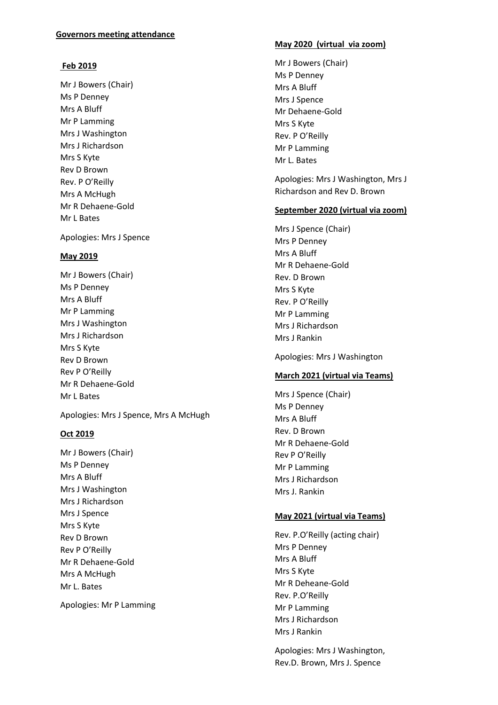## **Governors meeting attendance**

## **Feb 2019**

Mr J Bowers (Chair) Ms P Denney Mrs A Bluff Mr P Lamming Mrs J Washington Mrs J Richardson Mrs S Kyte Rev D Brown Rev. P O'Reilly Mrs A McHugh Mr R Dehaene-Gold Mr L Bates

Apologies: Mrs J Spence

## **May 2019**

Mr J Bowers (Chair) Ms P Denney Mrs A Bluff Mr P Lamming Mrs J Washington Mrs J Richardson Mrs S Kyte Rev D Brown Rev P O'Reilly Mr R Dehaene-Gold Mr L Bates

Apologies: Mrs J Spence, Mrs A McHugh

## **Oct 2019**

Mr J Bowers (Chair) Ms P Denney Mrs A Bluff Mrs J Washington Mrs J Richardson Mrs J Spence Mrs S Kyte Rev D Brown Rev P O'Reilly Mr R Dehaene-Gold Mrs A McHugh Mr L. Bates

Apologies: Mr P Lamming

## **May 2020 (virtual via zoom)**

Mr J Bowers (Chair) Ms P Denney Mrs A Bluff Mrs J Spence Mr Dehaene-Gold Mrs S Kyte Rev. P O'Reilly Mr P Lamming Mr L. Bates

Apologies: Mrs J Washington, Mrs J Richardson and Rev D. Brown

#### **September 2020 (virtual via zoom)**

Mrs J Spence (Chair) Mrs P Denney Mrs A Bluff Mr R Dehaene-Gold Rev. D Brown Mrs S Kyte Rev. P O'Reilly Mr P Lamming Mrs J Richardson Mrs J Rankin

Apologies: Mrs J Washington

#### **March 2021 (virtual via Teams)**

Mrs J Spence (Chair) Ms P Denney Mrs A Bluff Rev. D Brown Mr R Dehaene-Gold Rev P O'Reilly Mr P Lamming Mrs J Richardson Mrs J. Rankin

## **May 2021 (virtual via Teams)**

Rev. P.O'Reilly (acting chair) Mrs P Denney Mrs A Bluff Mrs S Kyte Mr R Deheane-Gold Rev. P.O'Reilly Mr P Lamming Mrs J Richardson Mrs J Rankin

Apologies: Mrs J Washington, Rev.D. Brown, Mrs J. Spence